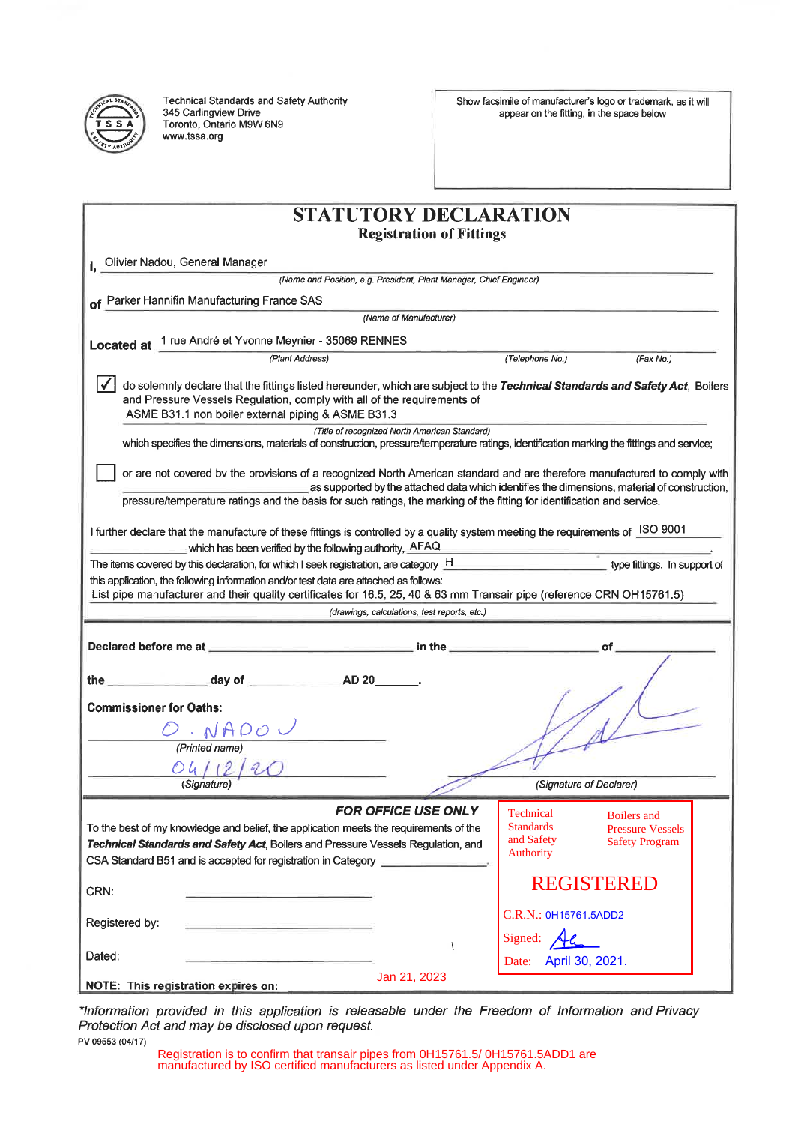

**Technical Standards and Safety Authority** 345 Carlingview Drive Toronto, Ontario M9W 6N9 www.tssa.org

Show facsimile of manufacturer's logo or trademark, as it will appear on the fitting, in the space below

| <b>STATUTORY DECLARATION</b><br><b>Registration of Fittings</b>                                                                                                                                                                                               |                                             |
|---------------------------------------------------------------------------------------------------------------------------------------------------------------------------------------------------------------------------------------------------------------|---------------------------------------------|
|                                                                                                                                                                                                                                                               |                                             |
| (Name and Position, e.g. President, Plant Manager, Chief Engineer)                                                                                                                                                                                            |                                             |
| of Parker Hannifin Manufacturing France SAS                                                                                                                                                                                                                   |                                             |
| (Name of Manufacturer)                                                                                                                                                                                                                                        |                                             |
| Located at 1 rue André et Yvonne Meynier - 35069 RENNES                                                                                                                                                                                                       |                                             |
| (Plant Address)                                                                                                                                                                                                                                               | (Telephone No.)<br>(Fax No.)                |
| do solemnly declare that the fittings listed hereunder, which are subject to the Technical Standards and Safety Act, Boilers<br>and Pressure Vessels Regulation, comply with all of the requirements of<br>ASME B31.1 non boiler external piping & ASME B31.3 |                                             |
| (Title of recognized North American Standard)                                                                                                                                                                                                                 |                                             |
| which specifies the dimensions, materials of construction, pressure/temperature ratings, identification marking the fittings and service;                                                                                                                     |                                             |
| or are not covered by the provisions of a recognized North American standard and are therefore manufactured to comply with                                                                                                                                    |                                             |
| as supported by the attached data which identifies the dimensions, material of construction,<br>pressure/temperature ratings and the basis for such ratings, the marking of the fitting for identification and service.                                       |                                             |
|                                                                                                                                                                                                                                                               |                                             |
| I further declare that the manufacture of these fittings is controlled by a quality system meeting the requirements of ISO 9001                                                                                                                               |                                             |
| which has been verified by the following authority, AFAQ                                                                                                                                                                                                      |                                             |
| The items covered by this declaration, for which I seek registration, are category $H$                                                                                                                                                                        | type fittings. In support of                |
| this application, the following information and/or test data are attached as follows:                                                                                                                                                                         |                                             |
| List pipe manufacturer and their quality certificates for 16.5, 25, 40 & 63 mm Transair pipe (reference CRN OH15761.5)                                                                                                                                        |                                             |
| (drawings, calculations, test reports, etc.)                                                                                                                                                                                                                  |                                             |
| Declared before me at <b>the contract of the contract of the contract of the contract of the contract of the contract of the contract of the contract of the contract of the contract of the contract of the contract of the con</b>                          |                                             |
|                                                                                                                                                                                                                                                               |                                             |
| the                                                                                                                                                                                                                                                           |                                             |
| <b>Commissioner for Oaths:</b>                                                                                                                                                                                                                                |                                             |
|                                                                                                                                                                                                                                                               |                                             |
|                                                                                                                                                                                                                                                               |                                             |
| (Printed name)                                                                                                                                                                                                                                                |                                             |
| 04/12/2                                                                                                                                                                                                                                                       |                                             |
| (Signature)                                                                                                                                                                                                                                                   | (Signature of Declarer)                     |
| <b>FOR OFFICE USE ONLY</b>                                                                                                                                                                                                                                    | <b>Technical</b><br><b>Boilers</b> and      |
| To the best of my knowledge and belief, the application meets the requirements of the                                                                                                                                                                         | <b>Standards</b><br><b>Pressure Vessels</b> |
| Technical Standards and Safety Act, Boilers and Pressure Vessels Regulation, and                                                                                                                                                                              | and Safety<br><b>Safety Program</b>         |
| CSA Standard B51 and is accepted for registration in Category                                                                                                                                                                                                 | Authority                                   |
|                                                                                                                                                                                                                                                               | <b>REGISTERED</b>                           |
| CRN:                                                                                                                                                                                                                                                          |                                             |
| Registered by:                                                                                                                                                                                                                                                | C.R.N.: 0H15761.5ADD2                       |
|                                                                                                                                                                                                                                                               | Signed:                                     |
| Dated:                                                                                                                                                                                                                                                        | Date: April 30, 2021.                       |
| Jan 21, 2023                                                                                                                                                                                                                                                  |                                             |
| NOTE: This registration expires on:                                                                                                                                                                                                                           |                                             |

\*Information provided in this application is releasable under the Freedom of Information and Privacy<br>Protection Act and may be disclosed upon request. PV 09553 (04/17)

Registration is to confirm that transair pipes from 0H15761.5/ 0H15761.5ADD1 are manufactured by ISO certified manufacturers as listed under Appendix A.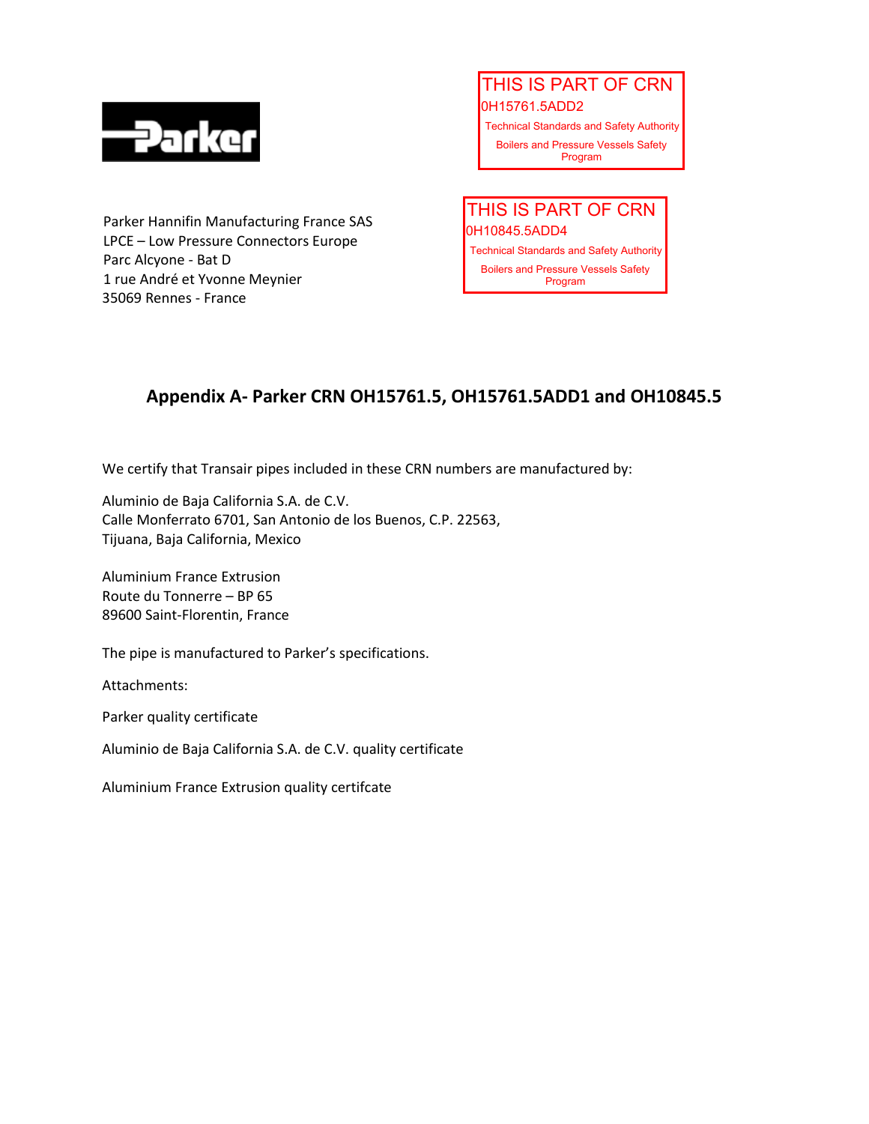

Parker Hannifin Manufacturing France SAS LPCE – Low Pressure Connectors Europe Parc Alcyone - Bat D 1 rue André et Yvonne Meynier 35069 Rennes - France

0H15761.5ADD2 Technical Standards and Safety Authority Boilers and Pressure Vessels Safety THIS IS PART OF CRN

0H10845.5ADD4 Technical Standards and Safety Authority Boilers and Pressure Vessels Safety THIS IS PART OF CRN

## **Appendix A- Parker CRN OH15761.5, OH15761.5ADD1 and OH10845.5**

We certify that Transair pipes included in these CRN numbers are manufactured by:

Aluminio de Baja California S.A. de C.V. Calle Monferrato 6701, San Antonio de los Buenos, C.P. 22563, Tijuana, Baja California, Mexico

Aluminium France Extrusion Route du Tonnerre – BP 65 89600 Saint-Florentin, France

The pipe is manufactured to Parker's specifications.

Attachments:

Parker quality certificate

Aluminio de Baja California S.A. de C.V. quality certificate

Aluminium France Extrusion quality certifcate